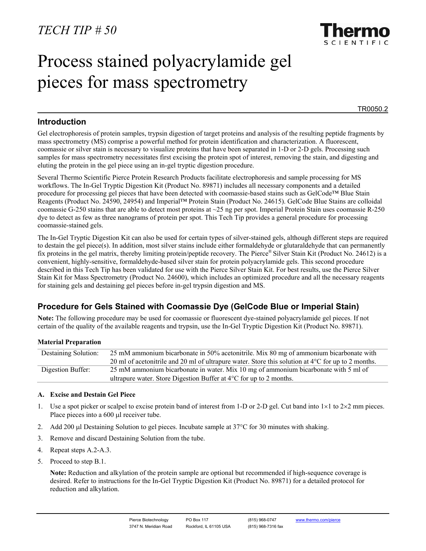

# Process stained polyacrylamide gel pieces for mass spectrometry

TR0050.2

## **Introduction**

Gel electrophoresis of protein samples, trypsin digestion of target proteins and analysis of the resulting peptide fragments by mass spectrometry (MS) comprise a powerful method for protein identification and characterization. A fluorescent, coomassie or silver stain is necessary to visualize proteins that have been separated in 1-D or 2-D gels. Processing such samples for mass spectrometry necessitates first excising the protein spot of interest, removing the stain, and digesting and eluting the protein in the gel piece using an in-gel tryptic digestion procedure.

Several Thermo Scientific Pierce Protein Research Products facilitate electrophoresis and sample processing for MS workflows. The In-Gel Tryptic Digestion Kit (Product No. 89871) includes all necessary components and a detailed procedure for processing gel pieces that have been detected with coomassie-based stains such as GelCode™ Blue Stain Reagents (Product No. 24590, 24954) and Imperial™ Protein Stain (Product No. 24615). GelCode Blue Stains are colloidal coomassie G-250 stains that are able to detect most proteins at  $\sim$ 25 ng per spot. Imperial Protein Stain uses coomassie R-250 dye to detect as few as three nanograms of protein per spot. This Tech Tip provides a general procedure for processing coomassie-stained gels.

The In-Gel Tryptic Digestion Kit can also be used for certain types of silver-stained gels, although different steps are required to destain the gel piece(s). In addition, most silver stains include either formaldehyde or glutaraldehyde that can permanently fix proteins in the gel matrix, thereby limiting protein/peptide recovery. The Pierce® Silver Stain Kit (Product No. 24612) is a convenient, highly-sensitive, formaldehyde-based silver stain for protein polyacrylamide gels. This second procedure described in this Tech Tip has been validated for use with the Pierce Silver Stain Kit. For best results, use the Pierce Silver Stain Kit for Mass Spectrometry (Product No. 24600), which includes an optimized procedure and all the necessary reagents for staining gels and destaining gel pieces before in-gel trypsin digestion and MS.

## **Procedure for Gels Stained with Coomassie Dye (GelCode Blue or Imperial Stain)**

**Note:** The following procedure may be used for coomassie or fluorescent dye-stained polyacrylamide gel pieces. If not certain of the quality of the available reagents and trypsin, use the In-Gel Tryptic Digestion Kit (Product No. 89871).

## **Material Preparation**

| <b>Destaining Solution:</b> | 25 mM ammonium bicarbonate in 50% acetonitrile. Mix 80 mg of ammonium bicarbonate with                       |
|-----------------------------|--------------------------------------------------------------------------------------------------------------|
|                             | 20 ml of acetonitrile and 20 ml of ultrapure water. Store this solution at $4^{\circ}$ C for up to 2 months. |
| Digestion Buffer:           | 25 mM ammonium bicarbonate in water. Mix 10 mg of ammonium bicarbonate with 5 ml of                          |
|                             | ultrapure water. Store Digestion Buffer at $4^{\circ}$ C for up to 2 months.                                 |

## **A. Excise and Destain Gel Piece**

- 1. Use a spot picker or scalpel to excise protein band of interest from 1-D or 2-D gel. Cut band into  $1 \times 1$  to  $2 \times 2$  mm pieces. Place pieces into a 600 µl receiver tube.
- 2. Add 200 µl Destaining Solution to gel pieces. Incubate sample at 37°C for 30 minutes with shaking.
- 3. Remove and discard Destaining Solution from the tube.
- 4. Repeat steps A.2-A.3.
- 5. Proceed to step B.1.

**Note:** Reduction and alkylation of the protein sample are optional but recommended if high-sequence coverage is desired. Refer to instructions for the In-Gel Tryptic Digestion Kit (Product No. 89871) for a detailed protocol for reduction and alkylation.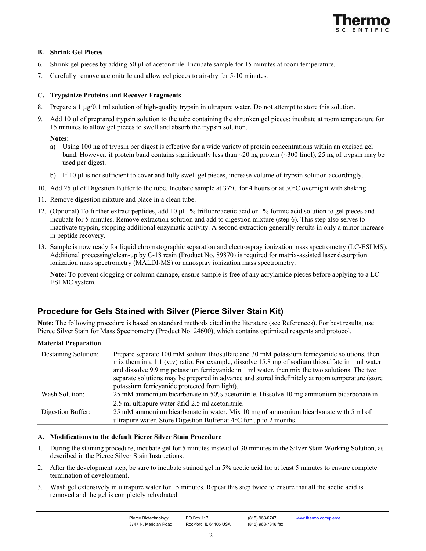

## **B. Shrink Gel Pieces**

- 6. Shrink gel pieces by adding 50 µl of acetonitrile. Incubate sample for 15 minutes at room temperature.
- 7. Carefully remove acetonitrile and allow gel pieces to air-dry for 5-10 minutes.

## **C. Trypsinize Proteins and Recover Fragments**

- 8. Prepare a 1 µg/0.1 ml solution of high-quality trypsin in ultrapure water. Do not attempt to store this solution.
- 9. Add 10 µl of preprared trypsin solution to the tube containing the shrunken gel pieces; incubate at room temperature for 15 minutes to allow gel pieces to swell and absorb the trypsin solution.

#### **Notes:**

- a) Using 100 ng of trypsin per digest is effective for a wide variety of protein concentrations within an excised gel band. However, if protein band contains significantly less than  $\sim$ 20 ng protein ( $\sim$ 300 fmol), 25 ng of trypsin may be used per digest.
- b) If 10  $\mu$  is not sufficient to cover and fully swell gel pieces, increase volume of trypsin solution accordingly.
- 10. Add 25 µl of Digestion Buffer to the tube. Incubate sample at  $37^{\circ}$ C for 4 hours or at  $30^{\circ}$ C overnight with shaking.
- 11. Remove digestion mixture and place in a clean tube.
- 12. (Optional) To further extract peptides, add 10 µl 1% trifluoroacetic acid or 1% formic acid solution to gel pieces and incubate for 5 minutes. Remove extraction solution and add to digestion mixture (step 6). This step also serves to inactivate trypsin, stopping additional enzymatic activity. A second extraction generally results in only a minor increase in peptide recovery.
- 13. Sample is now ready for liquid chromatographic separation and electrospray ionization mass spectrometry (LC-ESI MS). Additional processing/clean-up by C-18 resin (Product No. 89870) is required for matrix-assisted laser desorption ionization mass spectrometry (MALDI-MS) or nanospray ionization mass spectrometry.

**Note:** To prevent clogging or column damage, ensure sample is free of any acrylamide pieces before applying to a LC-ESI MC system.

## **Procedure for Gels Stained with Silver (Pierce Silver Stain Kit)**

**Note:** The following procedure is based on standard methods cited in the literature (see References). For best results, use Pierce Silver Stain for Mass Spectrometry (Product No. 24600), which contains optimized reagents and protocol.

## **Material Preparation**

| Destaining Solution: | Prepare separate 100 mM sodium thiosulfate and 30 mM potassium ferricyanide solutions, then      |
|----------------------|--------------------------------------------------------------------------------------------------|
|                      |                                                                                                  |
|                      | mix them in a 1:1 (v:v) ratio. For example, dissolve 15.8 mg of sodium thiosulfate in 1 ml water |
|                      | and dissolve 9.9 mg potassium ferricyanide in 1 ml water, then mix the two solutions. The two    |
|                      | separate solutions may be prepared in advance and stored indefinitely at room temperature (store |
|                      | potassium ferricyanide protected from light).                                                    |
| Wash Solution:       | 25 mM ammonium bicarbonate in 50% acetonitrile. Dissolve 10 mg ammonium bicarbonate in           |
|                      | 2.5 ml ultrapure water and 2.5 ml acetonitrile.                                                  |
| Digestion Buffer:    | 25 mM ammonium bicarbonate in water. Mix 10 mg of ammonium bicarbonate with 5 ml of              |
|                      | ultrapure water. Store Digestion Buffer at 4°C for up to 2 months.                               |

## **A. Modifications to the default Pierce Silver Stain Procedure**

- 1. During the staining procedure, incubate gel for 5 minutes instead of 30 minutes in the Silver Stain Working Solution, as described in the Pierce Silver Stain Instructions.
- 2. After the development step, be sure to incubate stained gel in 5% acetic acid for at least 5 minutes to ensure complete termination of development.
- 3. Wash gel extensively in ultrapure water for 15 minutes. Repeat this step twice to ensure that all the acetic acid is removed and the gel is completely rehydrated.